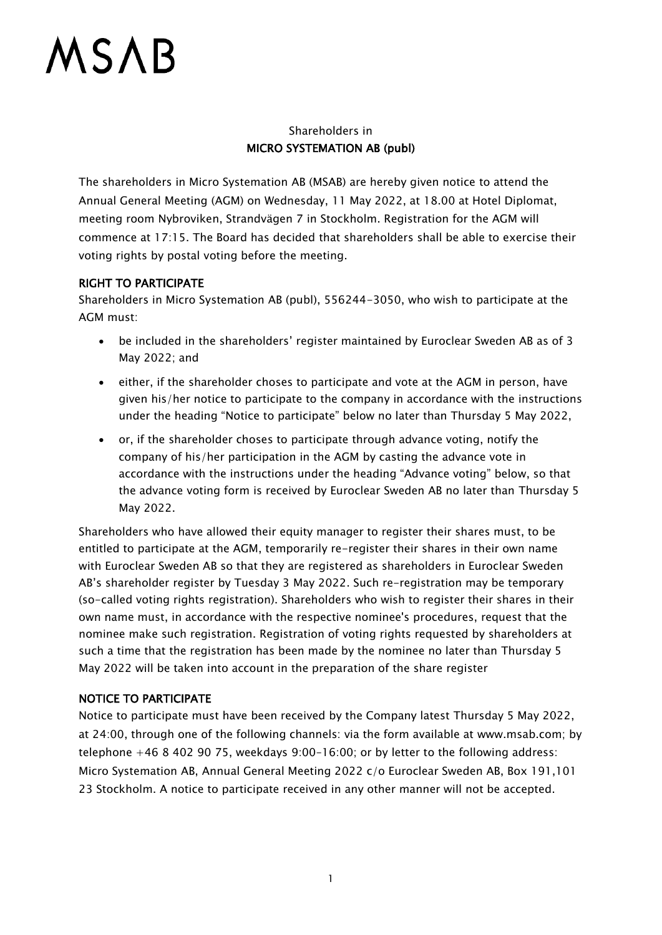## Shareholders in MICRO SYSTEMATION AB (publ)

The shareholders in Micro Systemation AB (MSAB) are hereby given notice to attend the Annual General Meeting (AGM) on Wednesday, 11 May 2022, at 18.00 at Hotel Diplomat, meeting room Nybroviken, Strandvägen 7 in Stockholm. Registration for the AGM will commence at 17:15. The Board has decided that shareholders shall be able to exercise their voting rights by postal voting before the meeting.

## RIGHT TO PARTICIPATE

Shareholders in Micro Systemation AB (publ), 556244-3050, who wish to participate at the AGM must:

- be included in the shareholders' register maintained by Euroclear Sweden AB as of 3 May 2022; and
- either, if the shareholder choses to participate and vote at the AGM in person, have given his/her notice to participate to the company in accordance with the instructions under the heading "Notice to participate" below no later than Thursday 5 May 2022,
- or, if the shareholder choses to participate through advance voting, notify the company of his/her participation in the AGM by casting the advance vote in accordance with the instructions under the heading "Advance voting" below, so that the advance voting form is received by Euroclear Sweden AB no later than Thursday 5 May 2022.

Shareholders who have allowed their equity manager to register their shares must, to be entitled to participate at the AGM, temporarily re-register their shares in their own name with Euroclear Sweden AB so that they are registered as shareholders in Euroclear Sweden AB's shareholder register by Tuesday 3 May 2022. Such re-registration may be temporary (so-called voting rights registration). Shareholders who wish to register their shares in their own name must, in accordance with the respective nominee's procedures, request that the nominee make such registration. Registration of voting rights requested by shareholders at such a time that the registration has been made by the nominee no later than Thursday 5 May 2022 will be taken into account in the preparation of the share register

## NOTICE TO PARTICIPATE

Notice to participate must have been received by the Company latest Thursday 5 May 2022, at 24:00, through one of the following channels: via the form available at www.msab.com; by telephone +46 8 402 90 75, weekdays 9:00–16:00; or by letter to the following address: Micro Systemation AB, Annual General Meeting 2022 c/o Euroclear Sweden AB, Box 191,101 23 Stockholm. A notice to participate received in any other manner will not be accepted.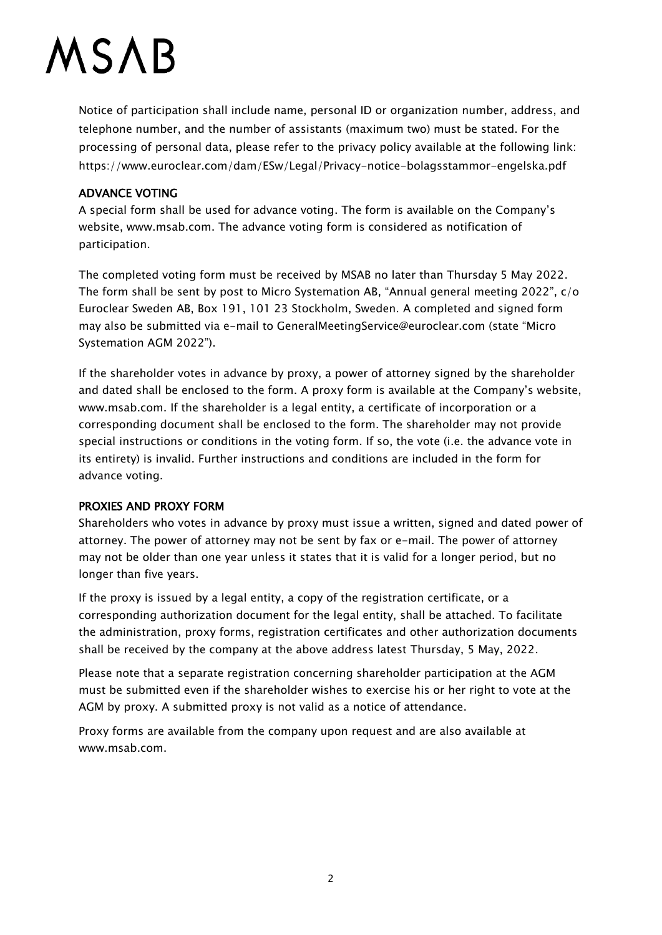Notice of participation shall include name, personal ID or organization number, address, and telephone number, and the number of assistants (maximum two) must be stated. For the processing of personal data, please refer to the privacy policy available at the following link: https://www.euroclear.com/dam/ESw/Legal/Privacy-notice-bolagsstammor-engelska.pdf

### ADVANCE VOTING

A special form shall be used for advance voting. The form is available on the Company's website, www.msab.com. The advance voting form is considered as notification of participation.

The completed voting form must be received by MSAB no later than Thursday 5 May 2022. The form shall be sent by post to Micro Systemation AB, "Annual general meeting 2022", c/o Euroclear Sweden AB, Box 191, 101 23 Stockholm, Sweden. A completed and signed form may also be submitted via e-mail to GeneralMeetingService@euroclear.com (state "Micro Systemation AGM 2022").

If the shareholder votes in advance by proxy, a power of attorney signed by the shareholder and dated shall be enclosed to the form. A proxy form is available at the Company's website, www.msab.com. If the shareholder is a legal entity, a certificate of incorporation or a corresponding document shall be enclosed to the form. The shareholder may not provide special instructions or conditions in the voting form. If so, the vote (i.e. the advance vote in its entirety) is invalid. Further instructions and conditions are included in the form for advance voting.

## PROXIES AND PROXY FORM

Shareholders who votes in advance by proxy must issue a written, signed and dated power of attorney. The power of attorney may not be sent by fax or e-mail. The power of attorney may not be older than one year unless it states that it is valid for a longer period, but no longer than five years.

If the proxy is issued by a legal entity, a copy of the registration certificate, or a corresponding authorization document for the legal entity, shall be attached. To facilitate the administration, proxy forms, registration certificates and other authorization documents shall be received by the company at the above address latest Thursday, 5 May, 2022.

Please note that a separate registration concerning shareholder participation at the AGM must be submitted even if the shareholder wishes to exercise his or her right to vote at the AGM by proxy. A submitted proxy is not valid as a notice of attendance.

Proxy forms are available from the company upon request and are also available at www.msab.com.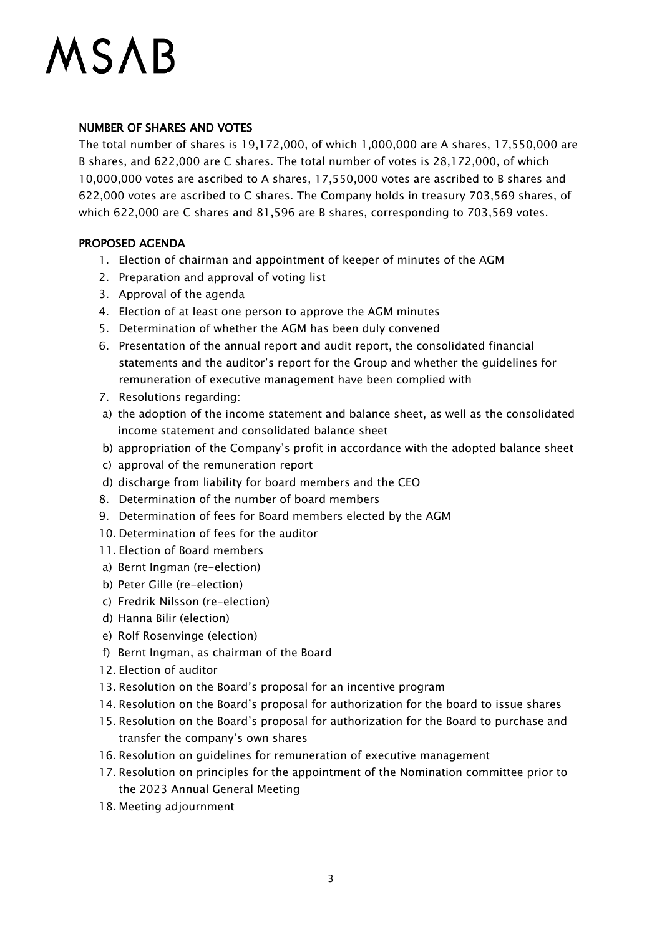### NUMBER OF SHARES AND VOTES

The total number of shares is 19,172,000, of which 1,000,000 are A shares, 17,550,000 are B shares, and 622,000 are C shares. The total number of votes is 28,172,000, of which 10,000,000 votes are ascribed to A shares, 17,550,000 votes are ascribed to B shares and 622,000 votes are ascribed to C shares. The Company holds in treasury 703,569 shares, of which 622,000 are C shares and 81,596 are B shares, corresponding to 703,569 votes.

### PROPOSED AGENDA

- 1. Election of chairman and appointment of keeper of minutes of the AGM
- 2. Preparation and approval of voting list
- 3. Approval of the agenda
- 4. Election of at least one person to approve the AGM minutes
- 5. Determination of whether the AGM has been duly convened
- 6. Presentation of the annual report and audit report, the consolidated financial statements and the auditor's report for the Group and whether the guidelines for remuneration of executive management have been complied with
- 7. Resolutions regarding:
- a) the adoption of the income statement and balance sheet, as well as the consolidated income statement and consolidated balance sheet
- b) appropriation of the Company's profit in accordance with the adopted balance sheet
- c) approval of the remuneration report
- d) discharge from liability for board members and the CEO
- 8. Determination of the number of board members
- 9. Determination of fees for Board members elected by the AGM
- 10. Determination of fees for the auditor
- 11. Election of Board members
- a) Bernt Ingman (re-election)
- b) Peter Gille (re-election)
- c) Fredrik Nilsson (re-election)
- d) Hanna Bilir (election)
- e) Rolf Rosenvinge (election)
- f) Bernt Ingman, as chairman of the Board
- 12. Election of auditor
- 13. Resolution on the Board's proposal for an incentive program
- 14. Resolution on the Board's proposal for authorization for the board to issue shares
- 15. Resolution on the Board's proposal for authorization for the Board to purchase and transfer the company's own shares
- 16. Resolution on guidelines for remuneration of executive management
- 17. Resolution on principles for the appointment of the Nomination committee prior to the 2023 Annual General Meeting
- 18. Meeting adjournment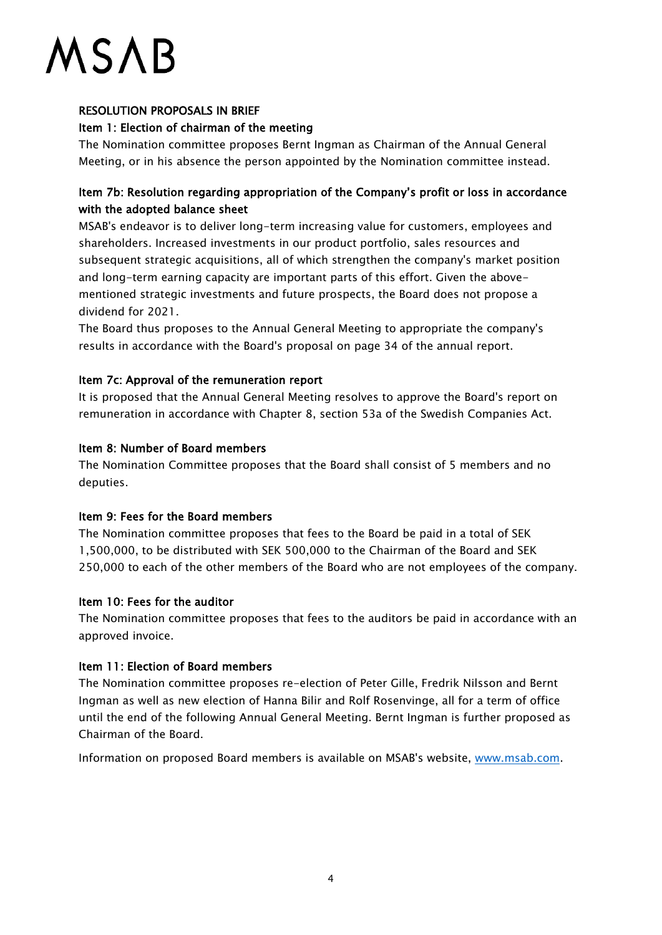## RESOLUTION PROPOSALS IN BRIEF

### Item 1: Election of chairman of the meeting

The Nomination committee proposes Bernt Ingman as Chairman of the Annual General Meeting, or in his absence the person appointed by the Nomination committee instead.

## Item 7b: Resolution regarding appropriation of the Company's profit or loss in accordance with the adopted balance sheet

MSAB's endeavor is to deliver long-term increasing value for customers, employees and shareholders. Increased investments in our product portfolio, sales resources and subsequent strategic acquisitions, all of which strengthen the company's market position and long-term earning capacity are important parts of this effort. Given the abovementioned strategic investments and future prospects, the Board does not propose a dividend for 2021.

The Board thus proposes to the Annual General Meeting to appropriate the company's results in accordance with the Board's proposal on page 34 of the annual report.

## Item 7c: Approval of the remuneration report

It is proposed that the Annual General Meeting resolves to approve the Board's report on remuneration in accordance with Chapter 8, section 53a of the Swedish Companies Act.

### Item 8: Number of Board members

The Nomination Committee proposes that the Board shall consist of 5 members and no deputies.

## Item 9: Fees for the Board members

The Nomination committee proposes that fees to the Board be paid in a total of SEK 1,500,000, to be distributed with SEK 500,000 to the Chairman of the Board and SEK 250,000 to each of the other members of the Board who are not employees of the company.

## Item 10: Fees for the auditor

The Nomination committee proposes that fees to the auditors be paid in accordance with an approved invoice.

## Item 11: Election of Board members

The Nomination committee proposes re-election of Peter Gille, Fredrik Nilsson and Bernt Ingman as well as new election of Hanna Bilir and Rolf Rosenvinge, all for a term of office until the end of the following Annual General Meeting. Bernt Ingman is further proposed as Chairman of the Board.

Information on proposed Board members is available on MSAB's website, [www.msab.com.](http://www.msab.com/)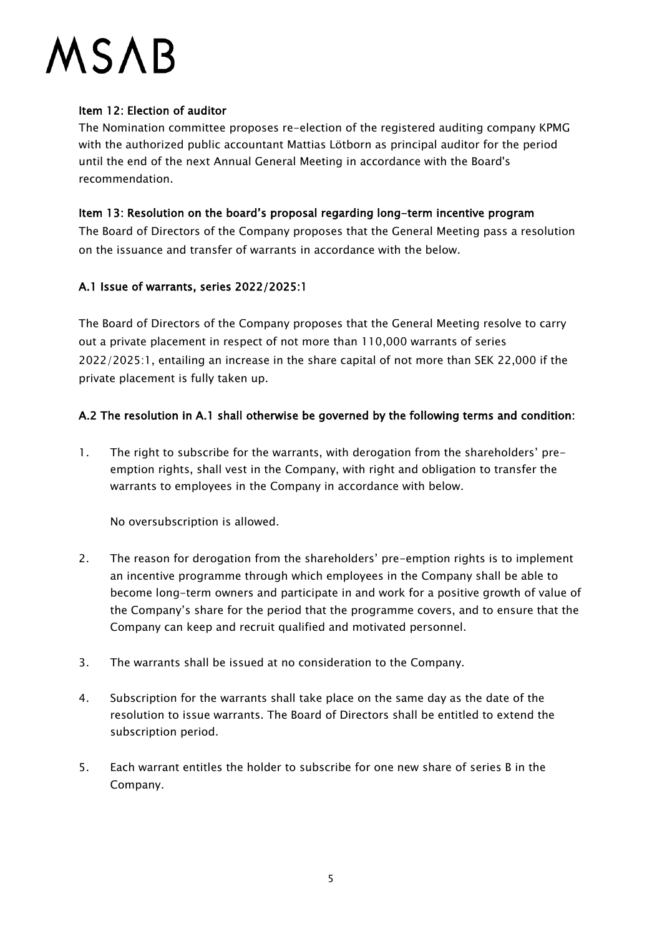### Item 12: Election of auditor

The Nomination committee proposes re-election of the registered auditing company KPMG with the authorized public accountant Mattias Lötborn as principal auditor for the period until the end of the next Annual General Meeting in accordance with the Board's recommendation.

### Item 13: Resolution on the board's proposal regarding long-term incentive program

The Board of Directors of the Company proposes that the General Meeting pass a resolution on the issuance and transfer of warrants in accordance with the below.

## A.1 Issue of warrants, series 2022/2025:1

The Board of Directors of the Company proposes that the General Meeting resolve to carry out a private placement in respect of not more than 110,000 warrants of series 2022/2025:1, entailing an increase in the share capital of not more than SEK 22,000 if the private placement is fully taken up.

## A.2 The resolution in A.1 shall otherwise be governed by the following terms and condition:

1. The right to subscribe for the warrants, with derogation from the shareholders' preemption rights, shall vest in the Company, with right and obligation to transfer the warrants to employees in the Company in accordance with below.

No oversubscription is allowed.

- 2. The reason for derogation from the shareholders' pre-emption rights is to implement an incentive programme through which employees in the Company shall be able to become long-term owners and participate in and work for a positive growth of value of the Company's share for the period that the programme covers, and to ensure that the Company can keep and recruit qualified and motivated personnel.
- 3. The warrants shall be issued at no consideration to the Company.
- 4. Subscription for the warrants shall take place on the same day as the date of the resolution to issue warrants. The Board of Directors shall be entitled to extend the subscription period.
- 5. Each warrant entitles the holder to subscribe for one new share of series B in the Company.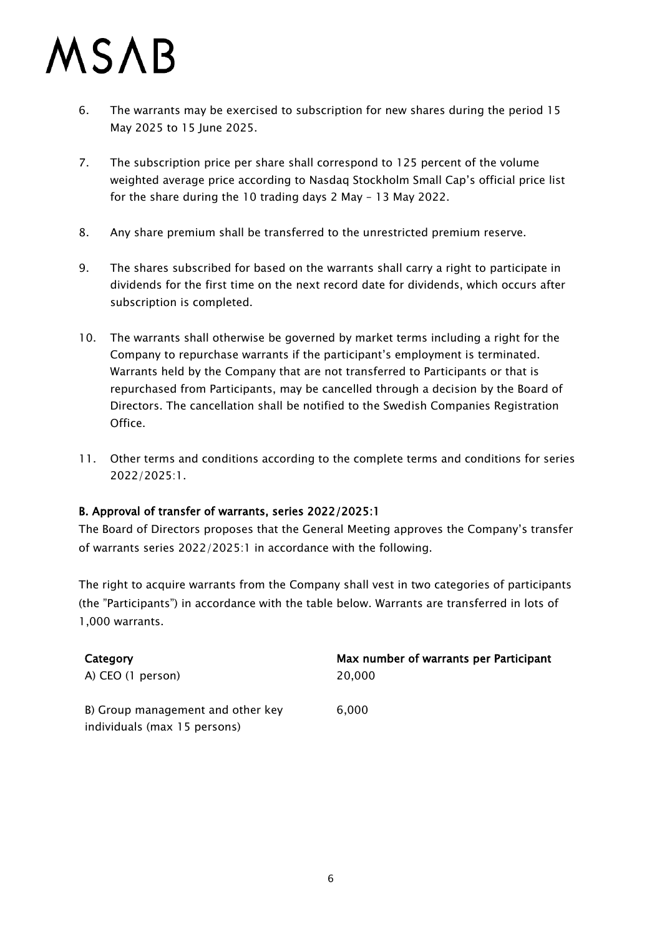- 6. The warrants may be exercised to subscription for new shares during the period 15 May 2025 to 15 June 2025.
- 7. The subscription price per share shall correspond to 125 percent of the volume weighted average price according to Nasdaq Stockholm Small Cap's official price list for the share during the 10 trading days 2 May – 13 May 2022.
- 8. Any share premium shall be transferred to the unrestricted premium reserve.
- 9. The shares subscribed for based on the warrants shall carry a right to participate in dividends for the first time on the next record date for dividends, which occurs after subscription is completed.
- 10. The warrants shall otherwise be governed by market terms including a right for the Company to repurchase warrants if the participant's employment is terminated. Warrants held by the Company that are not transferred to Participants or that is repurchased from Participants, may be cancelled through a decision by the Board of Directors. The cancellation shall be notified to the Swedish Companies Registration Office.
- 11. Other terms and conditions according to the complete terms and conditions for series 2022/2025:1.

## B. Approval of transfer of warrants, series 2022/2025:1

The Board of Directors proposes that the General Meeting approves the Company's transfer of warrants series 2022/2025:1 in accordance with the following.

The right to acquire warrants from the Company shall vest in two categories of participants (the "Participants") in accordance with the table below. Warrants are transferred in lots of 1,000 warrants.

| Category                          | Max number of warrants per Participant |
|-----------------------------------|----------------------------------------|
| A) CEO (1 person)                 | 20,000                                 |
| B) Group management and other key | 6.000                                  |
| individuals (max 15 persons)      |                                        |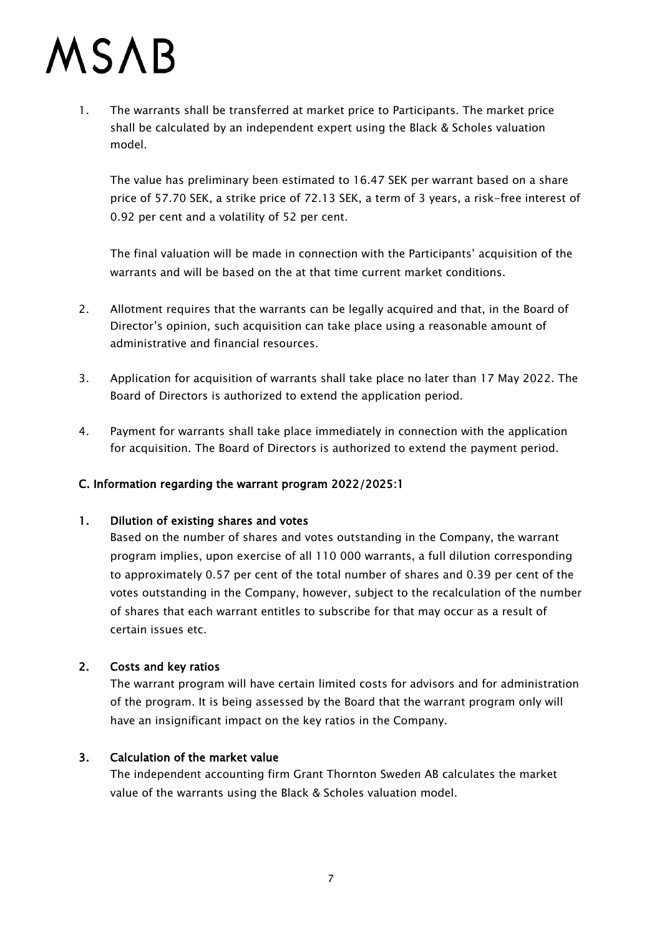1. The warrants shall be transferred at market price to Participants. The market price shall be calculated by an independent expert using the Black & Scholes valuation model.

The value has preliminary been estimated to 16.47 SEK per warrant based on a share price of 57.70 SEK, a strike price of 72.13 SEK, a term of 3 years, a risk-free interest of 0.92 per cent and a volatility of 52 per cent.

The final valuation will be made in connection with the Participants' acquisition of the warrants and will be based on the at that time current market conditions.

- 2. Allotment requires that the warrants can be legally acquired and that, in the Board of Director's opinion, such acquisition can take place using a reasonable amount of administrative and financial resources.
- 3. Application for acquisition of warrants shall take place no later than 17 May 2022. The Board of Directors is authorized to extend the application period.
- 4. Payment for warrants shall take place immediately in connection with the application for acquisition. The Board of Directors is authorized to extend the payment period.

## C. Information regarding the warrant program 2022/2025:1

#### 1. Dilution of existing shares and votes

Based on the number of shares and votes outstanding in the Company, the warrant program implies, upon exercise of all 110 000 warrants, a full dilution corresponding to approximately 0.57 per cent of the total number of shares and 0.39 per cent of the votes outstanding in the Company, however, subject to the recalculation of the number of shares that each warrant entitles to subscribe for that may occur as a result of certain issues etc.

#### 2. Costs and key ratios

The warrant program will have certain limited costs for advisors and for administration of the program. It is being assessed by the Board that the warrant program only will have an insignificant impact on the key ratios in the Company.

## 3. Calculation of the market value

The independent accounting firm Grant Thornton Sweden AB calculates the market value of the warrants using the Black & Scholes valuation model.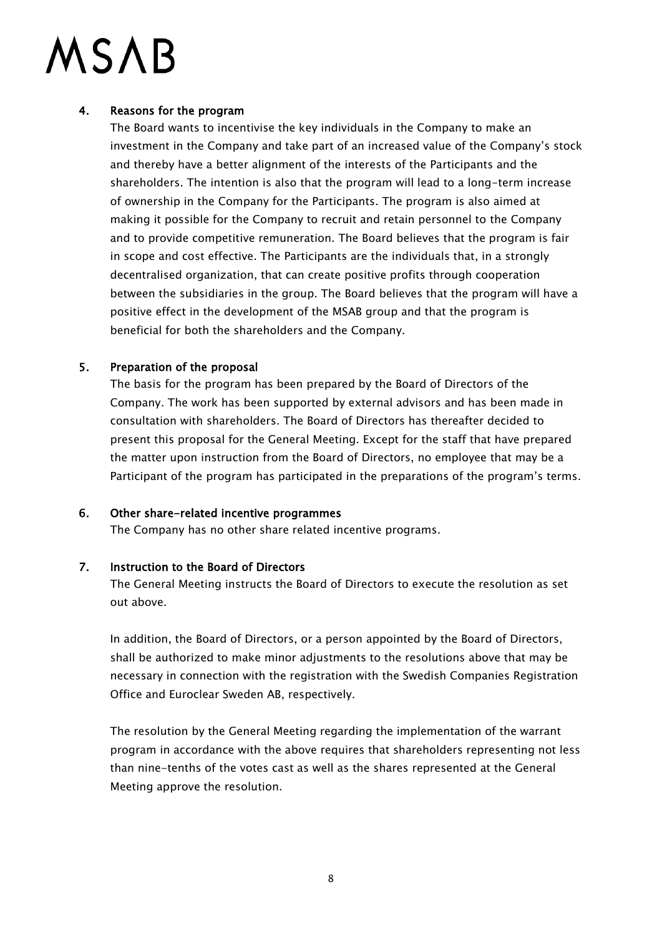### 4. Reasons for the program

The Board wants to incentivise the key individuals in the Company to make an investment in the Company and take part of an increased value of the Company's stock and thereby have a better alignment of the interests of the Participants and the shareholders. The intention is also that the program will lead to a long-term increase of ownership in the Company for the Participants. The program is also aimed at making it possible for the Company to recruit and retain personnel to the Company and to provide competitive remuneration. The Board believes that the program is fair in scope and cost effective. The Participants are the individuals that, in a strongly decentralised organization, that can create positive profits through cooperation between the subsidiaries in the group. The Board believes that the program will have a positive effect in the development of the MSAB group and that the program is beneficial for both the shareholders and the Company.

### 5. Preparation of the proposal

The basis for the program has been prepared by the Board of Directors of the Company. The work has been supported by external advisors and has been made in consultation with shareholders. The Board of Directors has thereafter decided to present this proposal for the General Meeting. Except for the staff that have prepared the matter upon instruction from the Board of Directors, no employee that may be a Participant of the program has participated in the preparations of the program's terms.

#### 6. Other share-related incentive programmes

The Company has no other share related incentive programs.

#### 7. Instruction to the Board of Directors

The General Meeting instructs the Board of Directors to execute the resolution as set out above.

In addition, the Board of Directors, or a person appointed by the Board of Directors, shall be authorized to make minor adjustments to the resolutions above that may be necessary in connection with the registration with the Swedish Companies Registration Office and Euroclear Sweden AB, respectively.

The resolution by the General Meeting regarding the implementation of the warrant program in accordance with the above requires that shareholders representing not less than nine-tenths of the votes cast as well as the shares represented at the General Meeting approve the resolution.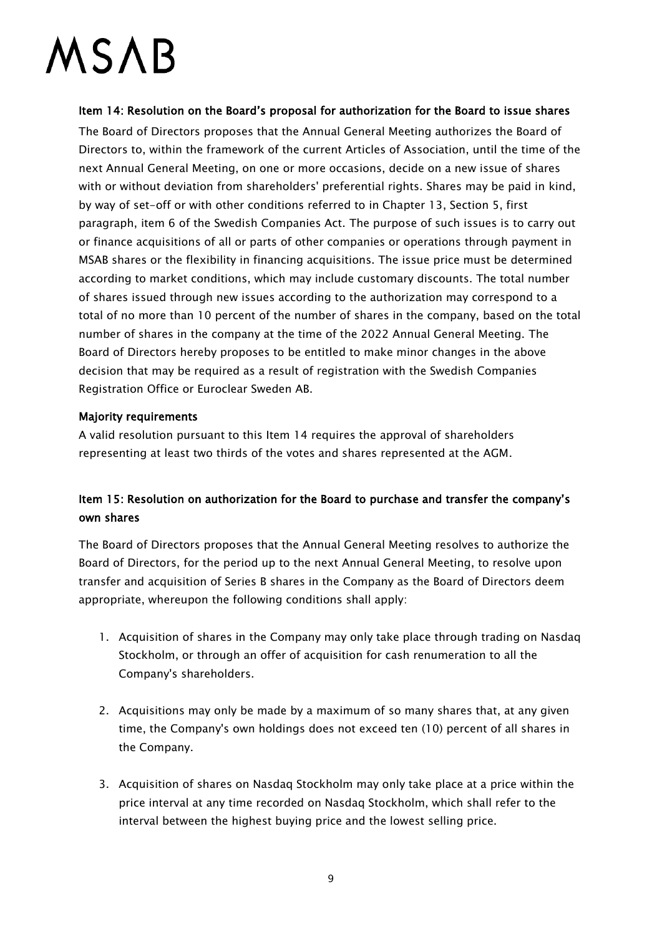Item 14: Resolution on the Board's proposal for authorization for the Board to issue shares The Board of Directors proposes that the Annual General Meeting authorizes the Board of Directors to, within the framework of the current Articles of Association, until the time of the next Annual General Meeting, on one or more occasions, decide on a new issue of shares with or without deviation from shareholders' preferential rights. Shares may be paid in kind, by way of set-off or with other conditions referred to in Chapter 13, Section 5, first paragraph, item 6 of the Swedish Companies Act. The purpose of such issues is to carry out or finance acquisitions of all or parts of other companies or operations through payment in MSAB shares or the flexibility in financing acquisitions. The issue price must be determined according to market conditions, which may include customary discounts. The total number of shares issued through new issues according to the authorization may correspond to a total of no more than 10 percent of the number of shares in the company, based on the total number of shares in the company at the time of the 2022 Annual General Meeting. The Board of Directors hereby proposes to be entitled to make minor changes in the above decision that may be required as a result of registration with the Swedish Companies Registration Office or Euroclear Sweden AB.

### Majority requirements

A valid resolution pursuant to this Item 14 requires the approval of shareholders representing at least two thirds of the votes and shares represented at the AGM.

## Item 15: Resolution on authorization for the Board to purchase and transfer the company's own shares

The Board of Directors proposes that the Annual General Meeting resolves to authorize the Board of Directors, for the period up to the next Annual General Meeting, to resolve upon transfer and acquisition of Series B shares in the Company as the Board of Directors deem appropriate, whereupon the following conditions shall apply:

- 1. Acquisition of shares in the Company may only take place through trading on Nasdaq Stockholm, or through an offer of acquisition for cash renumeration to all the Company's shareholders.
- 2. Acquisitions may only be made by a maximum of so many shares that, at any given time, the Company's own holdings does not exceed ten (10) percent of all shares in the Company.
- 3. Acquisition of shares on Nasdaq Stockholm may only take place at a price within the price interval at any time recorded on Nasdaq Stockholm, which shall refer to the interval between the highest buying price and the lowest selling price.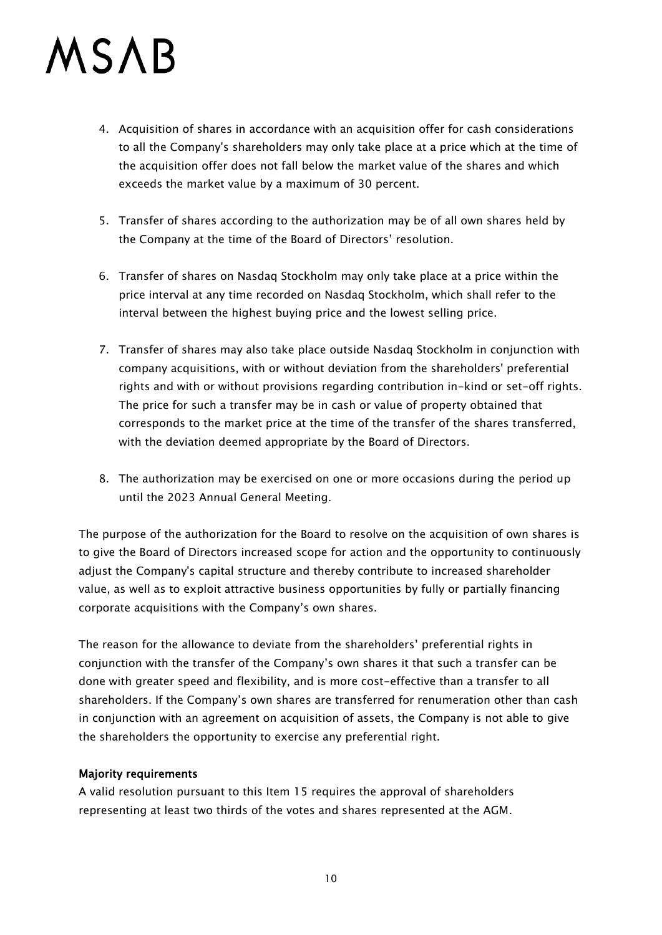- 4. Acquisition of shares in accordance with an acquisition offer for cash considerations to all the Company's shareholders may only take place at a price which at the time of the acquisition offer does not fall below the market value of the shares and which exceeds the market value by a maximum of 30 percent.
- 5. Transfer of shares according to the authorization may be of all own shares held by the Company at the time of the Board of Directors' resolution.
- 6. Transfer of shares on Nasdaq Stockholm may only take place at a price within the price interval at any time recorded on Nasdaq Stockholm, which shall refer to the interval between the highest buying price and the lowest selling price.
- 7. Transfer of shares may also take place outside Nasdaq Stockholm in conjunction with company acquisitions, with or without deviation from the shareholders' preferential rights and with or without provisions regarding contribution in-kind or set-off rights. The price for such a transfer may be in cash or value of property obtained that corresponds to the market price at the time of the transfer of the shares transferred, with the deviation deemed appropriate by the Board of Directors.
- 8. The authorization may be exercised on one or more occasions during the period up until the 2023 Annual General Meeting.

The purpose of the authorization for the Board to resolve on the acquisition of own shares is to give the Board of Directors increased scope for action and the opportunity to continuously adjust the Company's capital structure and thereby contribute to increased shareholder value, as well as to exploit attractive business opportunities by fully or partially financing corporate acquisitions with the Company's own shares.

The reason for the allowance to deviate from the shareholders' preferential rights in conjunction with the transfer of the Company's own shares it that such a transfer can be done with greater speed and flexibility, and is more cost-effective than a transfer to all shareholders. If the Company's own shares are transferred for renumeration other than cash in conjunction with an agreement on acquisition of assets, the Company is not able to give the shareholders the opportunity to exercise any preferential right.

#### Majority requirements

A valid resolution pursuant to this Item 15 requires the approval of shareholders representing at least two thirds of the votes and shares represented at the AGM.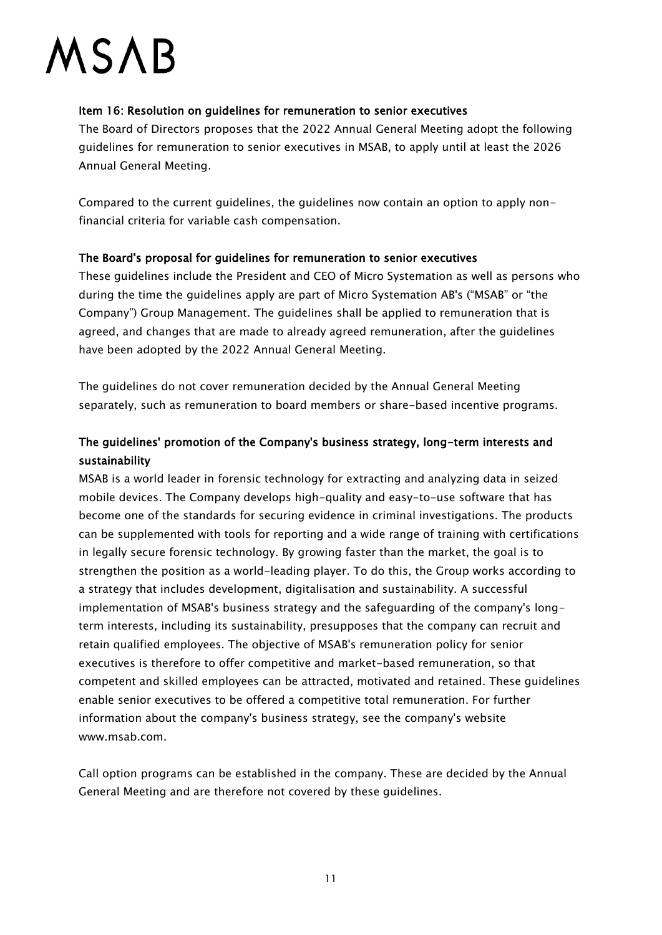### Item 16: Resolution on guidelines for remuneration to senior executives

The Board of Directors proposes that the 2022 Annual General Meeting adopt the following guidelines for remuneration to senior executives in MSAB, to apply until at least the 2026 Annual General Meeting.

Compared to the current guidelines, the guidelines now contain an option to apply nonfinancial criteria for variable cash compensation.

### The Board's proposal for guidelines for remuneration to senior executives

These guidelines include the President and CEO of Micro Systemation as well as persons who during the time the guidelines apply are part of Micro Systemation AB's ("MSAB" or "the Company") Group Management. The guidelines shall be applied to remuneration that is agreed, and changes that are made to already agreed remuneration, after the guidelines have been adopted by the 2022 Annual General Meeting.

The guidelines do not cover remuneration decided by the Annual General Meeting separately, such as remuneration to board members or share-based incentive programs.

## The guidelines' promotion of the Company's business strategy, long-term interests and sustainability

MSAB is a world leader in forensic technology for extracting and analyzing data in seized mobile devices. The Company develops high-quality and easy-to-use software that has become one of the standards for securing evidence in criminal investigations. The products can be supplemented with tools for reporting and a wide range of training with certifications in legally secure forensic technology. By growing faster than the market, the goal is to strengthen the position as a world-leading player. To do this, the Group works according to a strategy that includes development, digitalisation and sustainability. A successful implementation of MSAB's business strategy and the safeguarding of the company's longterm interests, including its sustainability, presupposes that the company can recruit and retain qualified employees. The objective of MSAB's remuneration policy for senior executives is therefore to offer competitive and market-based remuneration, so that competent and skilled employees can be attracted, motivated and retained. These guidelines enable senior executives to be offered a competitive total remuneration. For further information about the company's business strategy, see the company's website www.msab.com.

Call option programs can be established in the company. These are decided by the Annual General Meeting and are therefore not covered by these guidelines.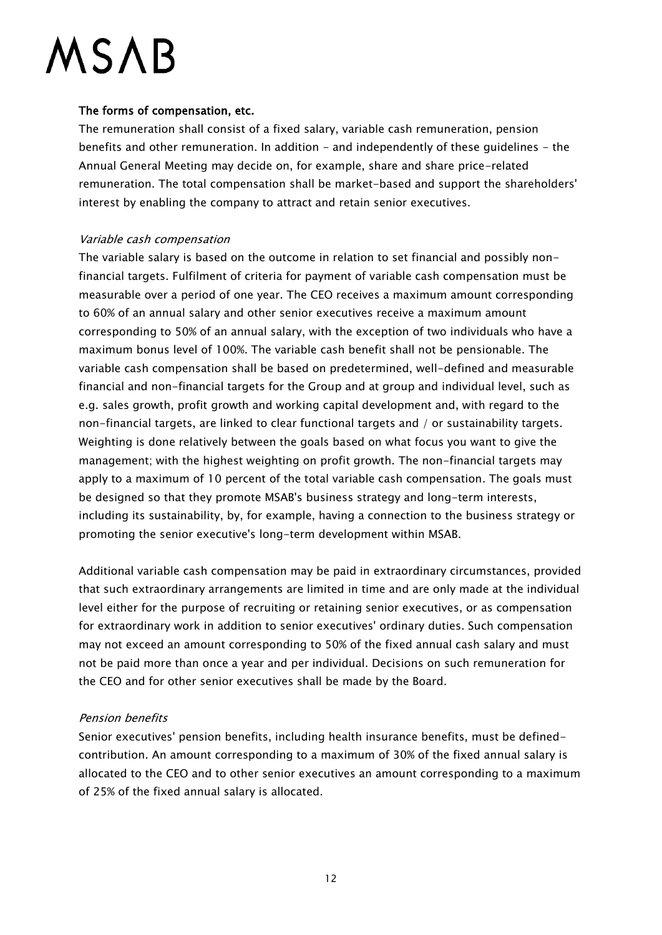### The forms of compensation, etc.

The remuneration shall consist of a fixed salary, variable cash remuneration, pension benefits and other remuneration. In addition - and independently of these guidelines - the Annual General Meeting may decide on, for example, share and share price-related remuneration. The total compensation shall be market-based and support the shareholders' interest by enabling the company to attract and retain senior executives.

#### Variable cash compensation

The variable salary is based on the outcome in relation to set financial and possibly nonfinancial targets. Fulfilment of criteria for payment of variable cash compensation must be measurable over a period of one year. The CEO receives a maximum amount corresponding to 60% of an annual salary and other senior executives receive a maximum amount corresponding to 50% of an annual salary, with the exception of two individuals who have a maximum bonus level of 100%. The variable cash benefit shall not be pensionable. The variable cash compensation shall be based on predetermined, well-defined and measurable financial and non-financial targets for the Group and at group and individual level, such as e.g. sales growth, profit growth and working capital development and, with regard to the non-financial targets, are linked to clear functional targets and / or sustainability targets. Weighting is done relatively between the goals based on what focus you want to give the management; with the highest weighting on profit growth. The non-financial targets may apply to a maximum of 10 percent of the total variable cash compensation. The goals must be designed so that they promote MSAB's business strategy and long-term interests, including its sustainability, by, for example, having a connection to the business strategy or promoting the senior executive's long-term development within MSAB.

Additional variable cash compensation may be paid in extraordinary circumstances, provided that such extraordinary arrangements are limited in time and are only made at the individual level either for the purpose of recruiting or retaining senior executives, or as compensation for extraordinary work in addition to senior executives' ordinary duties. Such compensation may not exceed an amount corresponding to 50% of the fixed annual cash salary and must not be paid more than once a year and per individual. Decisions on such remuneration for the CEO and for other senior executives shall be made by the Board.

## Pension benefits

Senior executives' pension benefits, including health insurance benefits, must be definedcontribution. An amount corresponding to a maximum of 30% of the fixed annual salary is allocated to the CEO and to other senior executives an amount corresponding to a maximum of 25% of the fixed annual salary is allocated.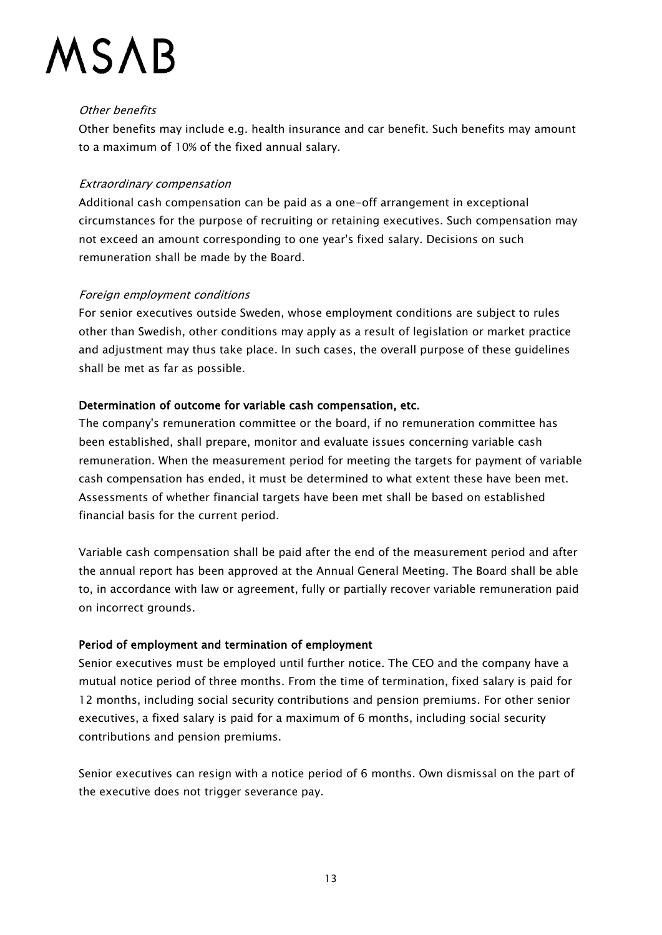### Other benefits

Other benefits may include e.g. health insurance and car benefit. Such benefits may amount to a maximum of 10% of the fixed annual salary.

### Extraordinary compensation

Additional cash compensation can be paid as a one-off arrangement in exceptional circumstances for the purpose of recruiting or retaining executives. Such compensation may not exceed an amount corresponding to one year's fixed salary. Decisions on such remuneration shall be made by the Board.

### Foreign employment conditions

For senior executives outside Sweden, whose employment conditions are subject to rules other than Swedish, other conditions may apply as a result of legislation or market practice and adjustment may thus take place. In such cases, the overall purpose of these guidelines shall be met as far as possible.

## Determination of outcome for variable cash compensation, etc.

The company's remuneration committee or the board, if no remuneration committee has been established, shall prepare, monitor and evaluate issues concerning variable cash remuneration. When the measurement period for meeting the targets for payment of variable cash compensation has ended, it must be determined to what extent these have been met. Assessments of whether financial targets have been met shall be based on established financial basis for the current period.

Variable cash compensation shall be paid after the end of the measurement period and after the annual report has been approved at the Annual General Meeting. The Board shall be able to, in accordance with law or agreement, fully or partially recover variable remuneration paid on incorrect grounds.

## Period of employment and termination of employment

Senior executives must be employed until further notice. The CEO and the company have a mutual notice period of three months. From the time of termination, fixed salary is paid for 12 months, including social security contributions and pension premiums. For other senior executives, a fixed salary is paid for a maximum of 6 months, including social security contributions and pension premiums.

Senior executives can resign with a notice period of 6 months. Own dismissal on the part of the executive does not trigger severance pay.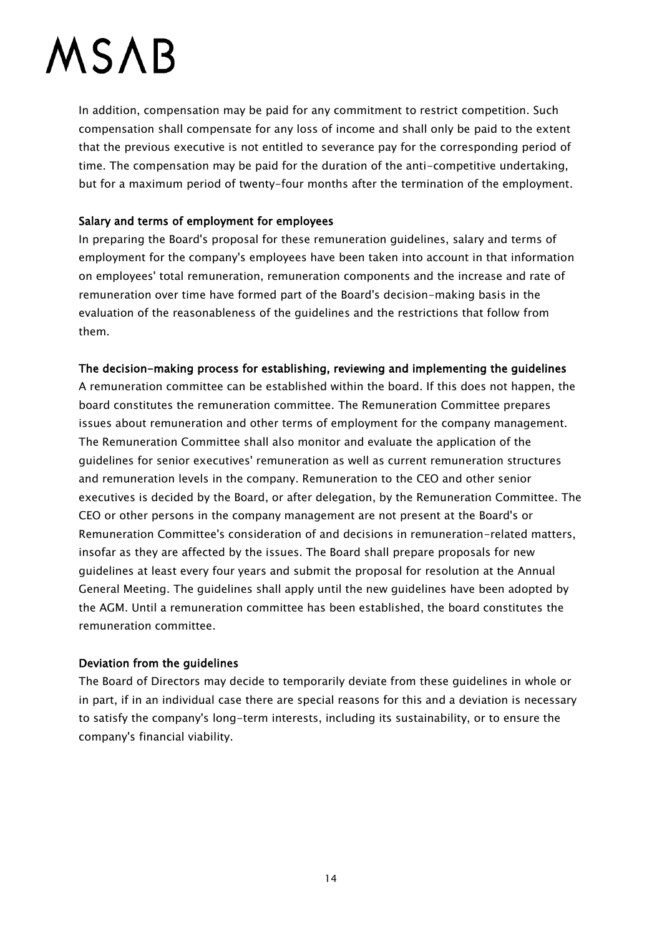In addition, compensation may be paid for any commitment to restrict competition. Such compensation shall compensate for any loss of income and shall only be paid to the extent that the previous executive is not entitled to severance pay for the corresponding period of time. The compensation may be paid for the duration of the anti-competitive undertaking, but for a maximum period of twenty-four months after the termination of the employment.

#### Salary and terms of employment for employees

In preparing the Board's proposal for these remuneration guidelines, salary and terms of employment for the company's employees have been taken into account in that information on employees' total remuneration, remuneration components and the increase and rate of remuneration over time have formed part of the Board's decision-making basis in the evaluation of the reasonableness of the guidelines and the restrictions that follow from them.

#### The decision-making process for establishing, reviewing and implementing the guidelines

A remuneration committee can be established within the board. If this does not happen, the board constitutes the remuneration committee. The Remuneration Committee prepares issues about remuneration and other terms of employment for the company management. The Remuneration Committee shall also monitor and evaluate the application of the guidelines for senior executives' remuneration as well as current remuneration structures and remuneration levels in the company. Remuneration to the CEO and other senior executives is decided by the Board, or after delegation, by the Remuneration Committee. The CEO or other persons in the company management are not present at the Board's or Remuneration Committee's consideration of and decisions in remuneration-related matters, insofar as they are affected by the issues. The Board shall prepare proposals for new guidelines at least every four years and submit the proposal for resolution at the Annual General Meeting. The guidelines shall apply until the new guidelines have been adopted by the AGM. Until a remuneration committee has been established, the board constitutes the remuneration committee.

#### Deviation from the guidelines

The Board of Directors may decide to temporarily deviate from these guidelines in whole or in part, if in an individual case there are special reasons for this and a deviation is necessary to satisfy the company's long-term interests, including its sustainability, or to ensure the company's financial viability.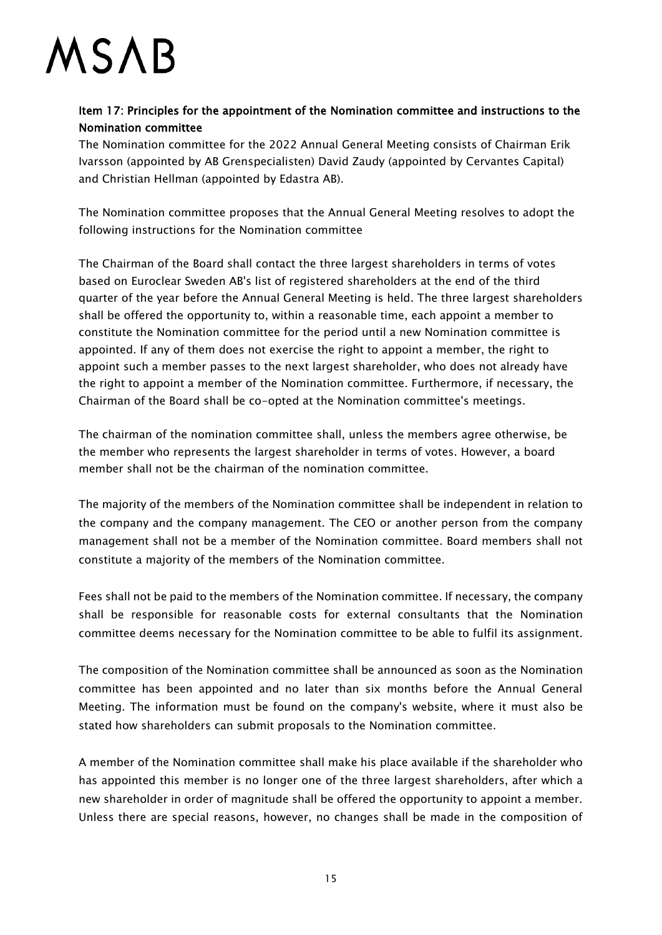## Item 17: Principles for the appointment of the Nomination committee and instructions to the Nomination committee

The Nomination committee for the 2022 Annual General Meeting consists of Chairman Erik Ivarsson (appointed by AB Grenspecialisten) David Zaudy (appointed by Cervantes Capital) and Christian Hellman (appointed by Edastra AB).

The Nomination committee proposes that the Annual General Meeting resolves to adopt the following instructions for the Nomination committee

The Chairman of the Board shall contact the three largest shareholders in terms of votes based on Euroclear Sweden AB's list of registered shareholders at the end of the third quarter of the year before the Annual General Meeting is held. The three largest shareholders shall be offered the opportunity to, within a reasonable time, each appoint a member to constitute the Nomination committee for the period until a new Nomination committee is appointed. If any of them does not exercise the right to appoint a member, the right to appoint such a member passes to the next largest shareholder, who does not already have the right to appoint a member of the Nomination committee. Furthermore, if necessary, the Chairman of the Board shall be co-opted at the Nomination committee's meetings.

The chairman of the nomination committee shall, unless the members agree otherwise, be the member who represents the largest shareholder in terms of votes. However, a board member shall not be the chairman of the nomination committee.

The majority of the members of the Nomination committee shall be independent in relation to the company and the company management. The CEO or another person from the company management shall not be a member of the Nomination committee. Board members shall not constitute a majority of the members of the Nomination committee.

Fees shall not be paid to the members of the Nomination committee. If necessary, the company shall be responsible for reasonable costs for external consultants that the Nomination committee deems necessary for the Nomination committee to be able to fulfil its assignment.

The composition of the Nomination committee shall be announced as soon as the Nomination committee has been appointed and no later than six months before the Annual General Meeting. The information must be found on the company's website, where it must also be stated how shareholders can submit proposals to the Nomination committee.

A member of the Nomination committee shall make his place available if the shareholder who has appointed this member is no longer one of the three largest shareholders, after which a new shareholder in order of magnitude shall be offered the opportunity to appoint a member. Unless there are special reasons, however, no changes shall be made in the composition of